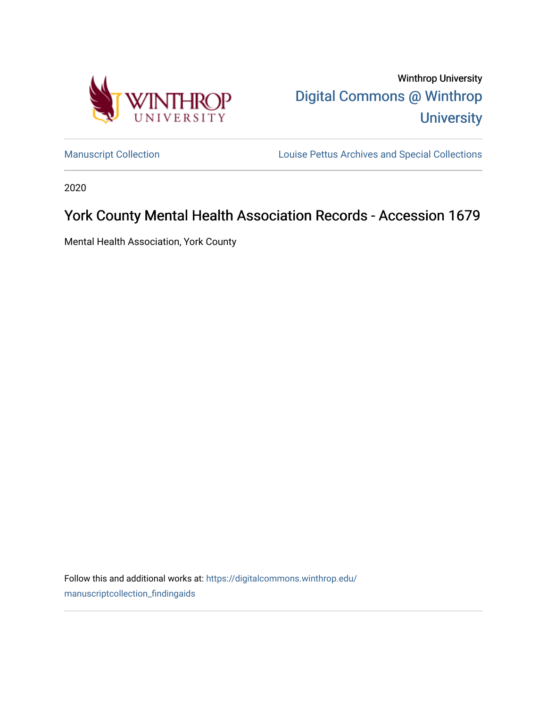

Winthrop University [Digital Commons @ Winthrop](https://digitalcommons.winthrop.edu/)  **University** 

[Manuscript Collection](https://digitalcommons.winthrop.edu/manuscriptcollection_findingaids) **Louise Pettus Archives and Special Collections** 

2020

# York County Mental Health Association Records - Accession 1679

Mental Health Association, York County

Follow this and additional works at: [https://digitalcommons.winthrop.edu/](https://digitalcommons.winthrop.edu/manuscriptcollection_findingaids?utm_source=digitalcommons.winthrop.edu%2Fmanuscriptcollection_findingaids%2F1238&utm_medium=PDF&utm_campaign=PDFCoverPages) [manuscriptcollection\\_findingaids](https://digitalcommons.winthrop.edu/manuscriptcollection_findingaids?utm_source=digitalcommons.winthrop.edu%2Fmanuscriptcollection_findingaids%2F1238&utm_medium=PDF&utm_campaign=PDFCoverPages)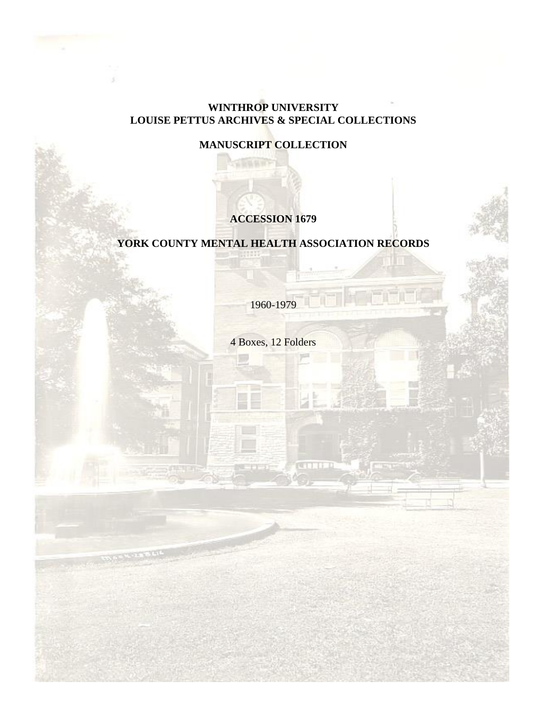### **WINTHROP UNIVERSITY LOUISE PETTUS ARCHIVES & SPECIAL COLLECTIONS**

**MANUSCRIPT COLLECTION**

# **ACCESSION 1679**

# **YORK COUNTY MENTAL HEALTH ASSOCIATION RECORDS**

1960-1979

4 Boxes, 12 Folders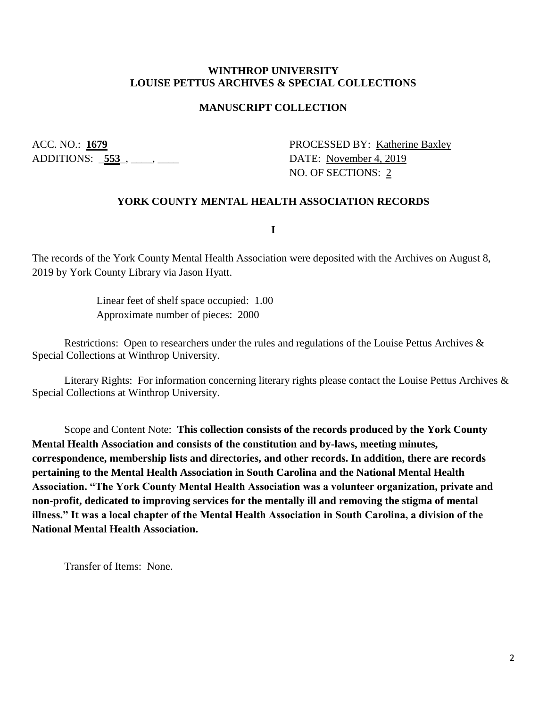#### **WINTHROP UNIVERSITY LOUISE PETTUS ARCHIVES & SPECIAL COLLECTIONS**

#### **MANUSCRIPT COLLECTION**

ADDITIONS: <u>553</u>, \_\_\_, \_\_\_\_

ACC. NO.: 1679 PROCESSED BY: Katherine Baxley NO. OF SECTIONS: 2

#### **YORK COUNTY MENTAL HEALTH ASSOCIATION RECORDS**

**I**

The records of the York County Mental Health Association were deposited with the Archives on August 8, 2019 by York County Library via Jason Hyatt.

> Linear feet of shelf space occupied: 1.00 Approximate number of pieces: 2000

Restrictions: Open to researchers under the rules and regulations of the Louise Pettus Archives & Special Collections at Winthrop University.

Literary Rights: For information concerning literary rights please contact the Louise Pettus Archives & Special Collections at Winthrop University.

Scope and Content Note: **This collection consists of the records produced by the York County Mental Health Association and consists of the constitution and by-laws, meeting minutes, correspondence, membership lists and directories, and other records. In addition, there are records pertaining to the Mental Health Association in South Carolina and the National Mental Health Association. "The York County Mental Health Association was a volunteer organization, private and non-profit, dedicated to improving services for the mentally ill and removing the stigma of mental illness." It was a local chapter of the Mental Health Association in South Carolina, a division of the National Mental Health Association.**

Transfer of Items: None.